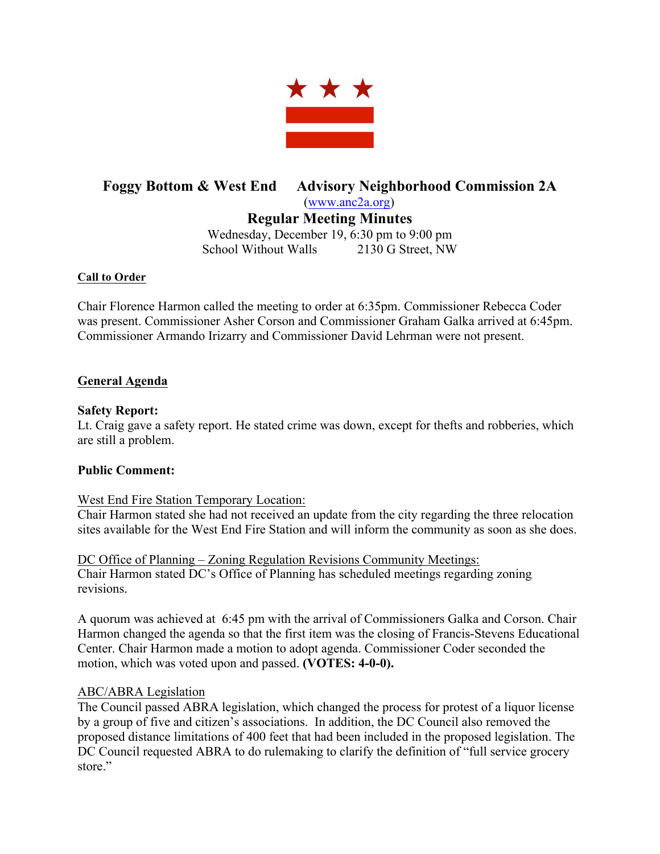

# **Foggy Bottom & West End Advisory Neighborhood Commission 2A** (www.anc2a.org)

**Regular Meeting Minutes**

Wednesday, December 19, 6:30 pm to 9:00 pm School Without Walls 2130 G Street, NW

#### **Call to Order**

Chair Florence Harmon called the meeting to order at 6:35pm. Commissioner Rebecca Coder was present. Commissioner Asher Corson and Commissioner Graham Galka arrived at 6:45pm. Commissioner Armando Irizarry and Commissioner David Lehrman were not present.

## **General Agenda**

### **Safety Report:**

Lt. Craig gave a safety report. He stated crime was down, except for thefts and robberies, which are still a problem.

## **Public Comment:**

#### West End Fire Station Temporary Location:

Chair Harmon stated she had not received an update from the city regarding the three relocation sites available for the West End Fire Station and will inform the community as soon as she does.

DC Office of Planning – Zoning Regulation Revisions Community Meetings: Chair Harmon stated DC's Office of Planning has scheduled meetings regarding zoning revisions.

A quorum was achieved at 6:45 pm with the arrival of Commissioners Galka and Corson. Chair Harmon changed the agenda so that the first item was the closing of Francis-Stevens Educational Center. Chair Harmon made a motion to adopt agenda. Commissioner Coder seconded the motion, which was voted upon and passed. **(VOTES: 4-0-0).**

#### ABC/ABRA Legislation

The Council passed ABRA legislation, which changed the process for protest of a liquor license by a group of five and citizen's associations. In addition, the DC Council also removed the proposed distance limitations of 400 feet that had been included in the proposed legislation. The DC Council requested ABRA to do rulemaking to clarify the definition of "full service grocery" store"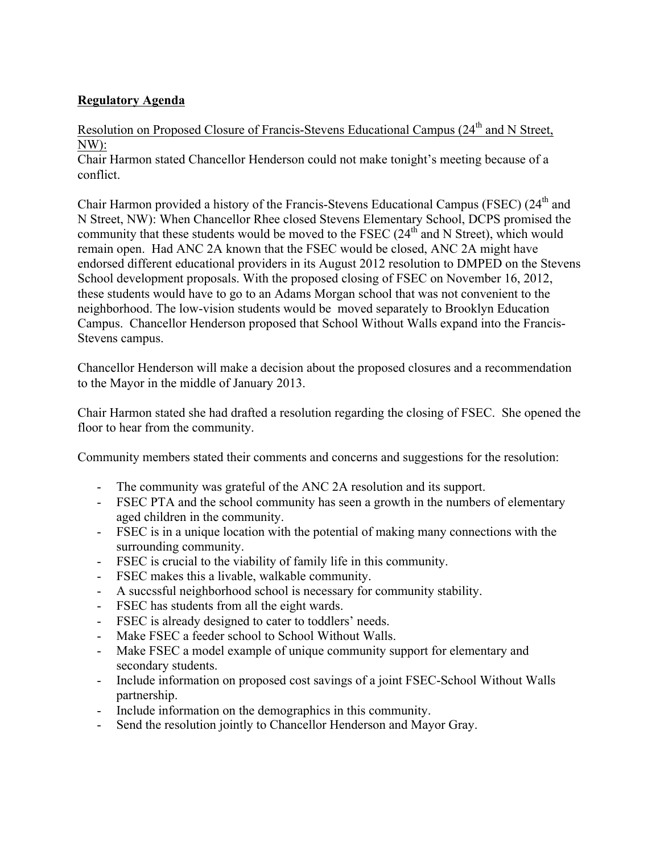# **Regulatory Agenda**

# Resolution on Proposed Closure of Francis-Stevens Educational Campus (24<sup>th</sup> and N Street, NW):

Chair Harmon stated Chancellor Henderson could not make tonight's meeting because of a conflict.

Chair Harmon provided a history of the Francis-Stevens Educational Campus (FSEC) (24<sup>th</sup> and N Street, NW): When Chancellor Rhee closed Stevens Elementary School, DCPS promised the community that these students would be moved to the FSEC  $(24<sup>th</sup>$  and N Street), which would remain open. Had ANC 2A known that the FSEC would be closed, ANC 2A might have endorsed different educational providers in its August 2012 resolution to DMPED on the Stevens School development proposals. With the proposed closing of FSEC on November 16, 2012, these students would have to go to an Adams Morgan school that was not convenient to the neighborhood. The low-vision students would be moved separately to Brooklyn Education Campus. Chancellor Henderson proposed that School Without Walls expand into the Francis-Stevens campus.

Chancellor Henderson will make a decision about the proposed closures and a recommendation to the Mayor in the middle of January 2013.

Chair Harmon stated she had drafted a resolution regarding the closing of FSEC. She opened the floor to hear from the community.

Community members stated their comments and concerns and suggestions for the resolution:

- The community was grateful of the ANC 2A resolution and its support.
- FSEC PTA and the school community has seen a growth in the numbers of elementary aged children in the community.
- FSEC is in a unique location with the potential of making many connections with the surrounding community.
- FSEC is crucial to the viability of family life in this community.
- FSEC makes this a livable, walkable community.
- A succssful neighborhood school is necessary for community stability.
- FSEC has students from all the eight wards.
- FSEC is already designed to cater to toddlers' needs.
- Make FSEC a feeder school to School Without Walls.
- Make FSEC a model example of unique community support for elementary and secondary students.
- Include information on proposed cost savings of a joint FSEC-School Without Walls partnership.
- Include information on the demographics in this community.
- Send the resolution jointly to Chancellor Henderson and Mayor Gray.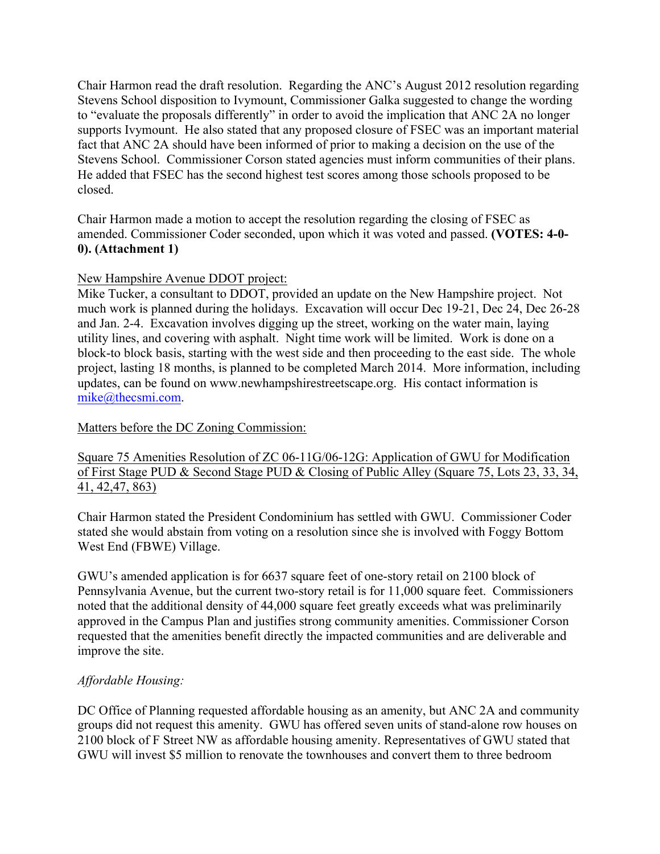Chair Harmon read the draft resolution. Regarding the ANC's August 2012 resolution regarding Stevens School disposition to Ivymount, Commissioner Galka suggested to change the wording to "evaluate the proposals differently" in order to avoid the implication that ANC 2A no longer supports Ivymount. He also stated that any proposed closure of FSEC was an important material fact that ANC 2A should have been informed of prior to making a decision on the use of the Stevens School. Commissioner Corson stated agencies must inform communities of their plans. He added that FSEC has the second highest test scores among those schools proposed to be closed.

Chair Harmon made a motion to accept the resolution regarding the closing of FSEC as amended. Commissioner Coder seconded, upon which it was voted and passed. **(VOTES: 4-0- 0). (Attachment 1)**

## New Hampshire Avenue DDOT project:

Mike Tucker, a consultant to DDOT, provided an update on the New Hampshire project. Not much work is planned during the holidays. Excavation will occur Dec 19-21, Dec 24, Dec 26-28 and Jan. 2-4. Excavation involves digging up the street, working on the water main, laying utility lines, and covering with asphalt. Night time work will be limited. Work is done on a block-to block basis, starting with the west side and then proceeding to the east side. The whole project, lasting 18 months, is planned to be completed March 2014. More information, including updates, can be found on www.newhampshirestreetscape.org. His contact information is mike@thecsmi.com.

## Matters before the DC Zoning Commission:

## Square 75 Amenities Resolution of ZC 06-11G/06-12G: Application of GWU for Modification of First Stage PUD & Second Stage PUD & Closing of Public Alley (Square 75, Lots 23, 33, 34, 41, 42,47, 863)

Chair Harmon stated the President Condominium has settled with GWU. Commissioner Coder stated she would abstain from voting on a resolution since she is involved with Foggy Bottom West End (FBWE) Village.

GWU's amended application is for 6637 square feet of one-story retail on 2100 block of Pennsylvania Avenue, but the current two-story retail is for 11,000 square feet. Commissioners noted that the additional density of 44,000 square feet greatly exceeds what was preliminarily approved in the Campus Plan and justifies strong community amenities. Commissioner Corson requested that the amenities benefit directly the impacted communities and are deliverable and improve the site.

## *Affordable Housing:*

DC Office of Planning requested affordable housing as an amenity, but ANC 2A and community groups did not request this amenity. GWU has offered seven units of stand-alone row houses on 2100 block of F Street NW as affordable housing amenity. Representatives of GWU stated that GWU will invest \$5 million to renovate the townhouses and convert them to three bedroom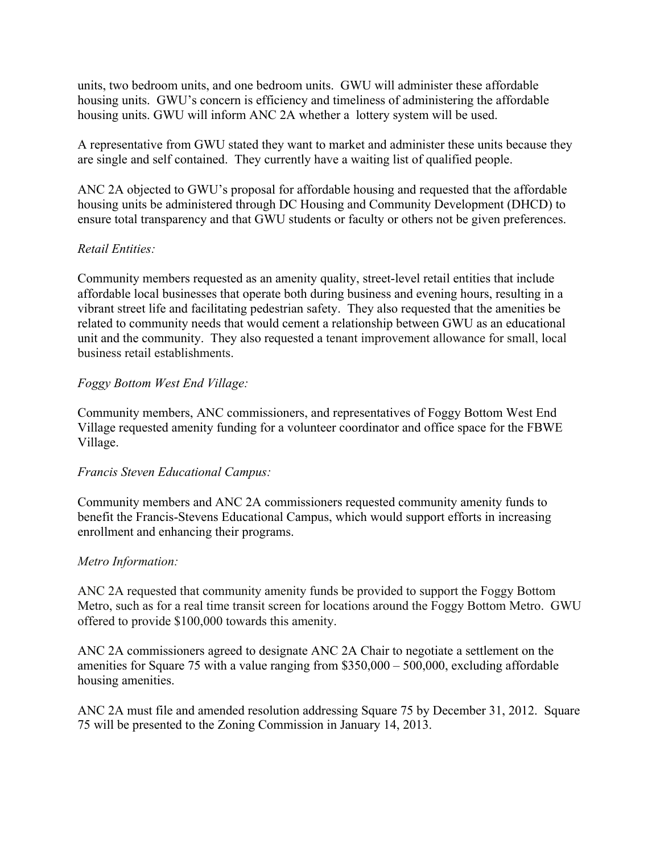units, two bedroom units, and one bedroom units. GWU will administer these affordable housing units. GWU's concern is efficiency and timeliness of administering the affordable housing units. GWU will inform ANC 2A whether a lottery system will be used.

A representative from GWU stated they want to market and administer these units because they are single and self contained. They currently have a waiting list of qualified people.

ANC 2A objected to GWU's proposal for affordable housing and requested that the affordable housing units be administered through DC Housing and Community Development (DHCD) to ensure total transparency and that GWU students or faculty or others not be given preferences.

## *Retail Entities:*

Community members requested as an amenity quality, street-level retail entities that include affordable local businesses that operate both during business and evening hours, resulting in a vibrant street life and facilitating pedestrian safety. They also requested that the amenities be related to community needs that would cement a relationship between GWU as an educational unit and the community. They also requested a tenant improvement allowance for small, local business retail establishments.

## *Foggy Bottom West End Village:*

Community members, ANC commissioners, and representatives of Foggy Bottom West End Village requested amenity funding for a volunteer coordinator and office space for the FBWE Village.

## *Francis Steven Educational Campus:*

Community members and ANC 2A commissioners requested community amenity funds to benefit the Francis-Stevens Educational Campus, which would support efforts in increasing enrollment and enhancing their programs.

## *Metro Information:*

ANC 2A requested that community amenity funds be provided to support the Foggy Bottom Metro, such as for a real time transit screen for locations around the Foggy Bottom Metro. GWU offered to provide \$100,000 towards this amenity.

ANC 2A commissioners agreed to designate ANC 2A Chair to negotiate a settlement on the amenities for Square 75 with a value ranging from \$350,000 – 500,000, excluding affordable housing amenities.

ANC 2A must file and amended resolution addressing Square 75 by December 31, 2012. Square 75 will be presented to the Zoning Commission in January 14, 2013.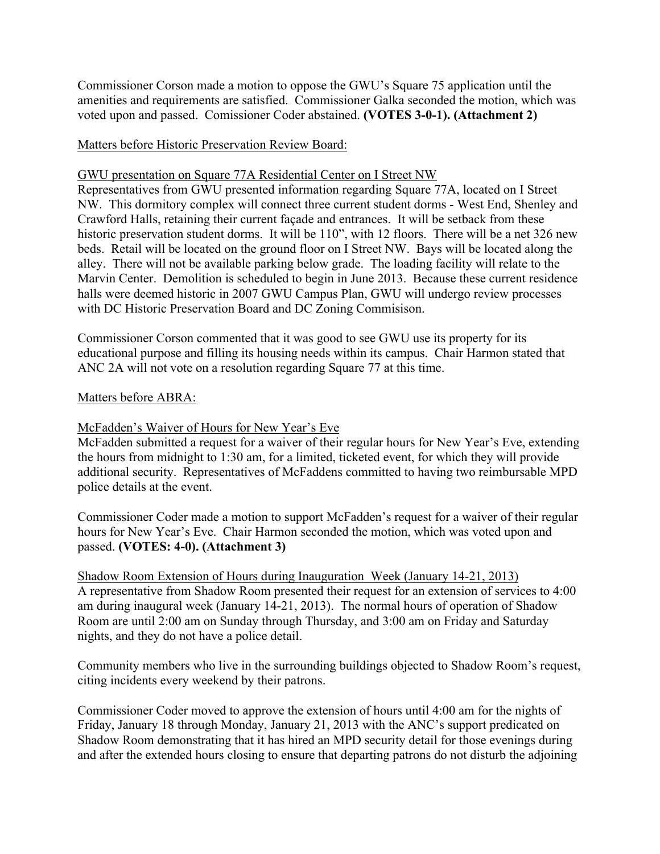Commissioner Corson made a motion to oppose the GWU's Square 75 application until the amenities and requirements are satisfied. Commissioner Galka seconded the motion, which was voted upon and passed. Comissioner Coder abstained. **(VOTES 3-0-1). (Attachment 2)**

Matters before Historic Preservation Review Board:

GWU presentation on Square 77A Residential Center on I Street NW

Representatives from GWU presented information regarding Square 77A, located on I Street NW. This dormitory complex will connect three current student dorms - West End, Shenley and Crawford Halls, retaining their current façade and entrances. It will be setback from these historic preservation student dorms. It will be 110", with 12 floors. There will be a net 326 new beds. Retail will be located on the ground floor on I Street NW. Bays will be located along the alley. There will not be available parking below grade. The loading facility will relate to the Marvin Center. Demolition is scheduled to begin in June 2013. Because these current residence halls were deemed historic in 2007 GWU Campus Plan, GWU will undergo review processes with DC Historic Preservation Board and DC Zoning Commisison.

Commissioner Corson commented that it was good to see GWU use its property for its educational purpose and filling its housing needs within its campus. Chair Harmon stated that ANC 2A will not vote on a resolution regarding Square 77 at this time.

### Matters before ABRA:

McFadden's Waiver of Hours for New Year's Eve

McFadden submitted a request for a waiver of their regular hours for New Year's Eve, extending the hours from midnight to 1:30 am, for a limited, ticketed event, for which they will provide additional security. Representatives of McFaddens committed to having two reimbursable MPD police details at the event.

Commissioner Coder made a motion to support McFadden's request for a waiver of their regular hours for New Year's Eve. Chair Harmon seconded the motion, which was voted upon and passed. **(VOTES: 4-0). (Attachment 3)**

Shadow Room Extension of Hours during Inauguration Week (January 14-21, 2013) A representative from Shadow Room presented their request for an extension of services to 4:00 am during inaugural week (January 14-21, 2013). The normal hours of operation of Shadow Room are until 2:00 am on Sunday through Thursday, and 3:00 am on Friday and Saturday nights, and they do not have a police detail.

Community members who live in the surrounding buildings objected to Shadow Room's request, citing incidents every weekend by their patrons.

Commissioner Coder moved to approve the extension of hours until 4:00 am for the nights of Friday, January 18 through Monday, January 21, 2013 with the ANC's support predicated on Shadow Room demonstrating that it has hired an MPD security detail for those evenings during and after the extended hours closing to ensure that departing patrons do not disturb the adjoining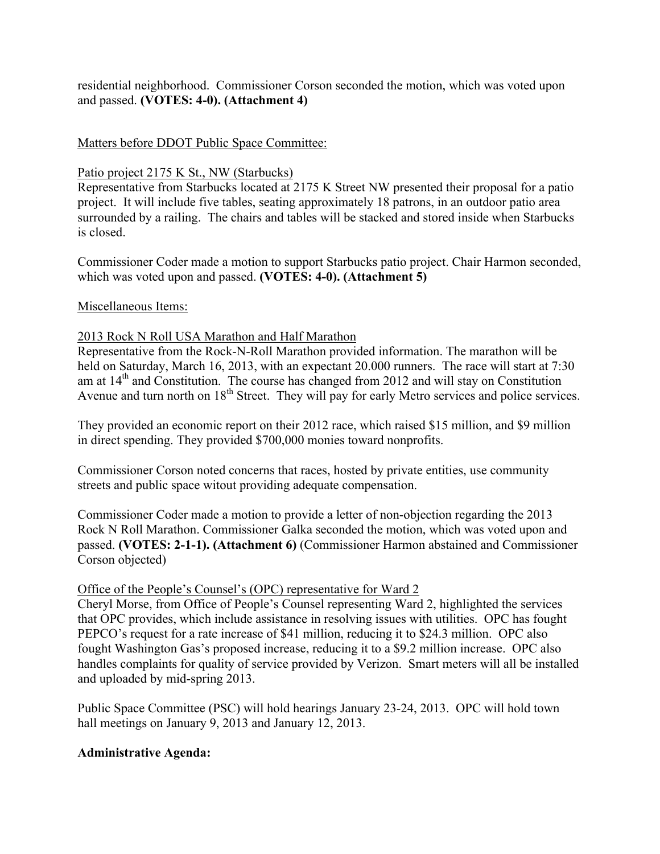residential neighborhood. Commissioner Corson seconded the motion, which was voted upon and passed. **(VOTES: 4-0). (Attachment 4)**

#### Matters before DDOT Public Space Committee:

#### Patio project 2175 K St., NW (Starbucks)

Representative from Starbucks located at 2175 K Street NW presented their proposal for a patio project. It will include five tables, seating approximately 18 patrons, in an outdoor patio area surrounded by a railing. The chairs and tables will be stacked and stored inside when Starbucks is closed.

Commissioner Coder made a motion to support Starbucks patio project. Chair Harmon seconded, which was voted upon and passed. **(VOTES: 4-0). (Attachment 5)**

#### Miscellaneous Items:

#### 2013 Rock N Roll USA Marathon and Half Marathon

Representative from the Rock-N-Roll Marathon provided information. The marathon will be held on Saturday, March 16, 2013, with an expectant 20.000 runners. The race will start at 7:30 am at 14<sup>th</sup> and Constitution. The course has changed from 2012 and will stay on Constitution Avenue and turn north on 18<sup>th</sup> Street. They will pay for early Metro services and police services.

They provided an economic report on their 2012 race, which raised \$15 million, and \$9 million in direct spending. They provided \$700,000 monies toward nonprofits.

Commissioner Corson noted concerns that races, hosted by private entities, use community streets and public space witout providing adequate compensation.

Commissioner Coder made a motion to provide a letter of non-objection regarding the 2013 Rock N Roll Marathon. Commissioner Galka seconded the motion, which was voted upon and passed. **(VOTES: 2-1-1). (Attachment 6)** (Commissioner Harmon abstained and Commissioner Corson objected)

#### Office of the People's Counsel's (OPC) representative for Ward 2

Cheryl Morse, from Office of People's Counsel representing Ward 2, highlighted the services that OPC provides, which include assistance in resolving issues with utilities. OPC has fought PEPCO's request for a rate increase of \$41 million, reducing it to \$24.3 million. OPC also fought Washington Gas's proposed increase, reducing it to a \$9.2 million increase. OPC also handles complaints for quality of service provided by Verizon. Smart meters will all be installed and uploaded by mid-spring 2013.

Public Space Committee (PSC) will hold hearings January 23-24, 2013. OPC will hold town hall meetings on January 9, 2013 and January 12, 2013.

#### **Administrative Agenda:**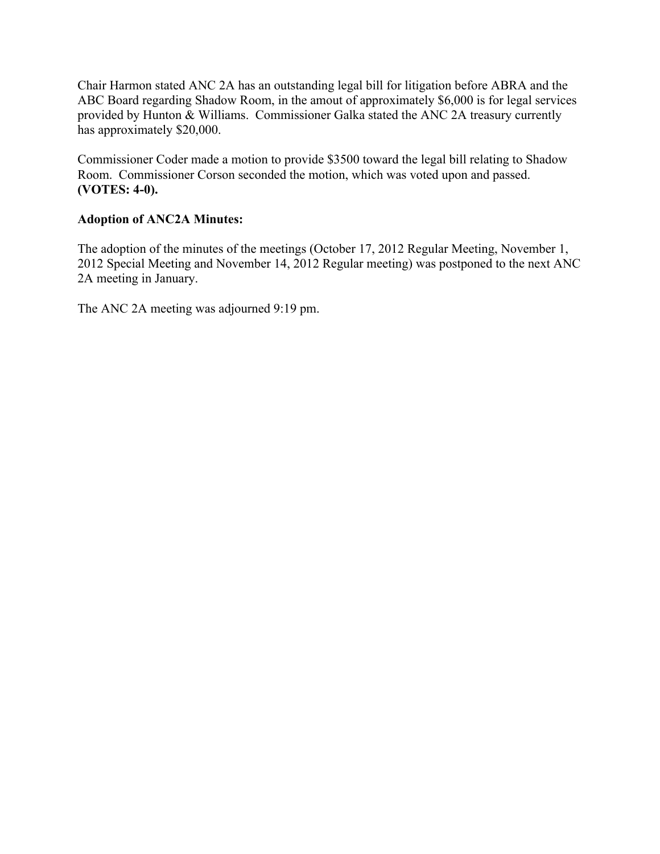Chair Harmon stated ANC 2A has an outstanding legal bill for litigation before ABRA and the ABC Board regarding Shadow Room, in the amout of approximately \$6,000 is for legal services provided by Hunton & Williams. Commissioner Galka stated the ANC 2A treasury currently has approximately \$20,000.

Commissioner Coder made a motion to provide \$3500 toward the legal bill relating to Shadow Room. Commissioner Corson seconded the motion, which was voted upon and passed. **(VOTES: 4-0).**

## **Adoption of ANC2A Minutes:**

The adoption of the minutes of the meetings (October 17, 2012 Regular Meeting, November 1, 2012 Special Meeting and November 14, 2012 Regular meeting) was postponed to the next ANC 2A meeting in January.

The ANC 2A meeting was adjourned 9:19 pm.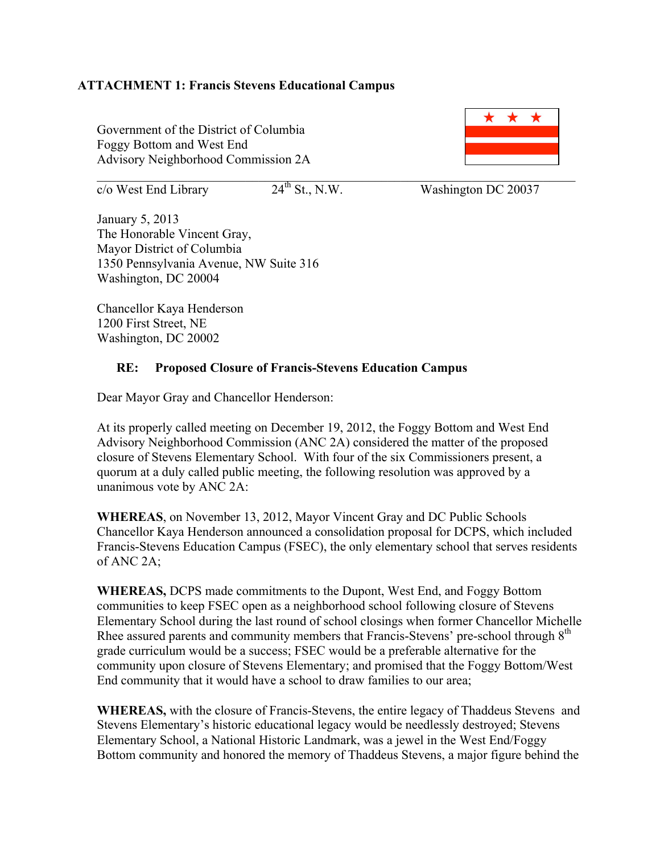### **ATTACHMENT 1: Francis Stevens Educational Campus**

Government of the District of Columbia Foggy Bottom and West End Advisory Neighborhood Commission 2A

 $\mathcal{L}_\text{max}$  , and the contribution of the contribution of the contribution of the contribution of the contribution of the contribution of the contribution of the contribution of the contribution of the contribution of t

 $\overline{c}/\overline{o}$  West End Library 24<sup>th</sup> St., N.W. Washington DC 20037

January 5, 2013 The Honorable Vincent Gray, Mayor District of Columbia 1350 Pennsylvania Avenue, NW Suite 316 Washington, DC 20004

Chancellor Kaya Henderson 1200 First Street, NE Washington, DC 20002

### **RE: Proposed Closure of Francis-Stevens Education Campus**

Dear Mayor Gray and Chancellor Henderson:

At its properly called meeting on December 19, 2012, the Foggy Bottom and West End Advisory Neighborhood Commission (ANC 2A) considered the matter of the proposed closure of Stevens Elementary School. With four of the six Commissioners present, a quorum at a duly called public meeting, the following resolution was approved by a unanimous vote by ANC 2A:

**WHEREAS**, on November 13, 2012, Mayor Vincent Gray and DC Public Schools Chancellor Kaya Henderson announced a consolidation proposal for DCPS, which included Francis-Stevens Education Campus (FSEC), the only elementary school that serves residents of ANC 2A;

**WHEREAS,** DCPS made commitments to the Dupont, West End, and Foggy Bottom communities to keep FSEC open as a neighborhood school following closure of Stevens Elementary School during the last round of school closings when former Chancellor Michelle Rhee assured parents and community members that Francis-Stevens' pre-school through  $8<sup>th</sup>$ grade curriculum would be a success; FSEC would be a preferable alternative for the community upon closure of Stevens Elementary; and promised that the Foggy Bottom/West End community that it would have a school to draw families to our area;

**WHEREAS,** with the closure of Francis-Stevens, the entire legacy of Thaddeus Stevens and Stevens Elementary's historic educational legacy would be needlessly destroyed; Stevens Elementary School, a National Historic Landmark, was a jewel in the West End/Foggy Bottom community and honored the memory of Thaddeus Stevens, a major figure behind the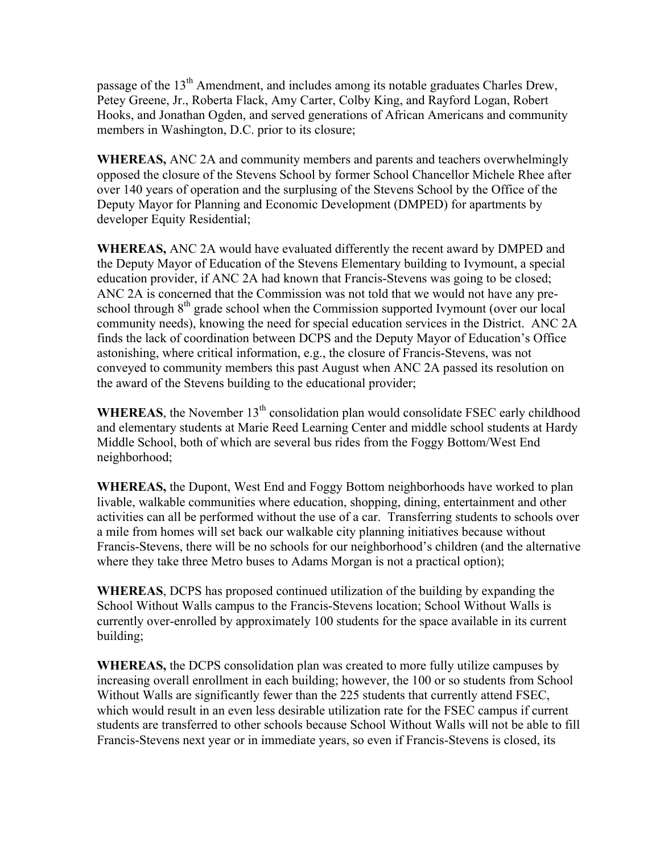passage of the 13<sup>th</sup> Amendment, and includes among its notable graduates Charles Drew, Petey Greene, Jr., Roberta Flack, Amy Carter, Colby King, and Rayford Logan, Robert Hooks, and Jonathan Ogden, and served generations of African Americans and community members in Washington, D.C. prior to its closure;

**WHEREAS,** ANC 2A and community members and parents and teachers overwhelmingly opposed the closure of the Stevens School by former School Chancellor Michele Rhee after over 140 years of operation and the surplusing of the Stevens School by the Office of the Deputy Mayor for Planning and Economic Development (DMPED) for apartments by developer Equity Residential;

**WHEREAS,** ANC 2A would have evaluated differently the recent award by DMPED and the Deputy Mayor of Education of the Stevens Elementary building to Ivymount, a special education provider, if ANC 2A had known that Francis-Stevens was going to be closed; ANC 2A is concerned that the Commission was not told that we would not have any preschool through  $8<sup>th</sup>$  grade school when the Commission supported Ivymount (over our local community needs), knowing the need for special education services in the District. ANC 2A finds the lack of coordination between DCPS and the Deputy Mayor of Education's Office astonishing, where critical information, e.g., the closure of Francis-Stevens, was not conveyed to community members this past August when ANC 2A passed its resolution on the award of the Stevens building to the educational provider;

**WHEREAS**, the November  $13<sup>th</sup>$  consolidation plan would consolidate FSEC early childhood and elementary students at Marie Reed Learning Center and middle school students at Hardy Middle School, both of which are several bus rides from the Foggy Bottom/West End neighborhood;

**WHEREAS,** the Dupont, West End and Foggy Bottom neighborhoods have worked to plan livable, walkable communities where education, shopping, dining, entertainment and other activities can all be performed without the use of a car. Transferring students to schools over a mile from homes will set back our walkable city planning initiatives because without Francis-Stevens, there will be no schools for our neighborhood's children (and the alternative where they take three Metro buses to Adams Morgan is not a practical option);

**WHEREAS**, DCPS has proposed continued utilization of the building by expanding the School Without Walls campus to the Francis-Stevens location; School Without Walls is currently over-enrolled by approximately 100 students for the space available in its current building;

**WHEREAS,** the DCPS consolidation plan was created to more fully utilize campuses by increasing overall enrollment in each building; however, the 100 or so students from School Without Walls are significantly fewer than the 225 students that currently attend FSEC, which would result in an even less desirable utilization rate for the FSEC campus if current students are transferred to other schools because School Without Walls will not be able to fill Francis-Stevens next year or in immediate years, so even if Francis-Stevens is closed, its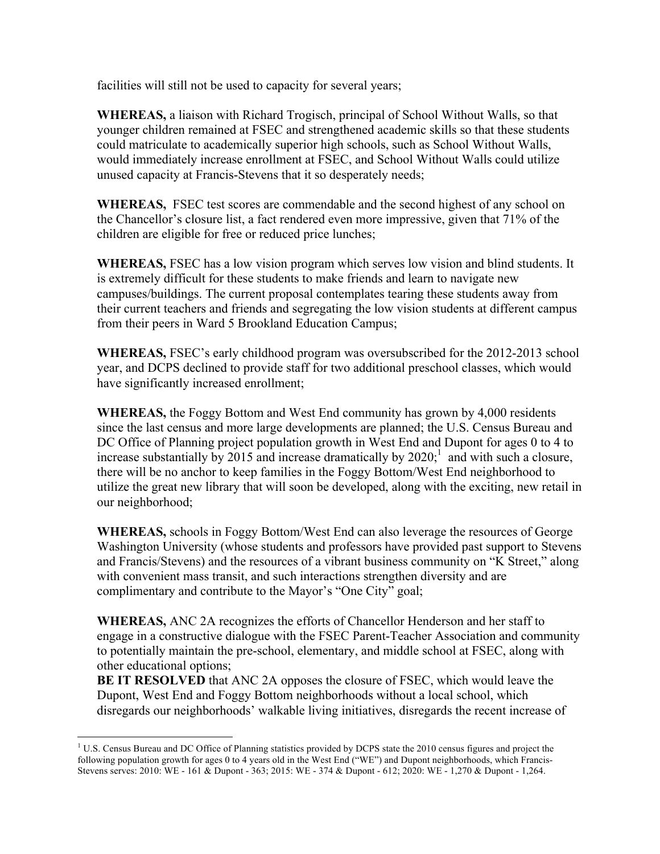facilities will still not be used to capacity for several years;

**WHEREAS,** a liaison with Richard Trogisch, principal of School Without Walls, so that younger children remained at FSEC and strengthened academic skills so that these students could matriculate to academically superior high schools, such as School Without Walls, would immediately increase enrollment at FSEC, and School Without Walls could utilize unused capacity at Francis-Stevens that it so desperately needs;

**WHEREAS,** FSEC test scores are commendable and the second highest of any school on the Chancellor's closure list, a fact rendered even more impressive, given that 71% of the children are eligible for free or reduced price lunches;

**WHEREAS,** FSEC has a low vision program which serves low vision and blind students. It is extremely difficult for these students to make friends and learn to navigate new campuses/buildings. The current proposal contemplates tearing these students away from their current teachers and friends and segregating the low vision students at different campus from their peers in Ward 5 Brookland Education Campus;

**WHEREAS,** FSEC's early childhood program was oversubscribed for the 2012-2013 school year, and DCPS declined to provide staff for two additional preschool classes, which would have significantly increased enrollment;

**WHEREAS,** the Foggy Bottom and West End community has grown by 4,000 residents since the last census and more large developments are planned; the U.S. Census Bureau and DC Office of Planning project population growth in West End and Dupont for ages 0 to 4 to increase substantially by 2015 and increase dramatically by  $2020$ ; and with such a closure, there will be no anchor to keep families in the Foggy Bottom/West End neighborhood to utilize the great new library that will soon be developed, along with the exciting, new retail in our neighborhood;

**WHEREAS,** schools in Foggy Bottom/West End can also leverage the resources of George Washington University (whose students and professors have provided past support to Stevens and Francis/Stevens) and the resources of a vibrant business community on "K Street," along with convenient mass transit, and such interactions strengthen diversity and are complimentary and contribute to the Mayor's "One City" goal;

**WHEREAS,** ANC 2A recognizes the efforts of Chancellor Henderson and her staff to engage in a constructive dialogue with the FSEC Parent-Teacher Association and community to potentially maintain the pre-school, elementary, and middle school at FSEC, along with other educational options;

**BE IT RESOLVED** that ANC 2A opposes the closure of FSEC, which would leave the Dupont, West End and Foggy Bottom neighborhoods without a local school, which disregards our neighborhoods' walkable living initiatives, disregards the recent increase of

 $<sup>1</sup>$  U.S. Census Bureau and DC Office of Planning statistics provided by DCPS state the 2010 census figures and project the</sup> following population growth for ages 0 to 4 years old in the West End ("WE") and Dupont neighborhoods, which Francis-Stevens serves: 2010: WE - 161 & Dupont - 363; 2015: WE - 374 & Dupont - 612; 2020: WE - 1,270 & Dupont - 1,264.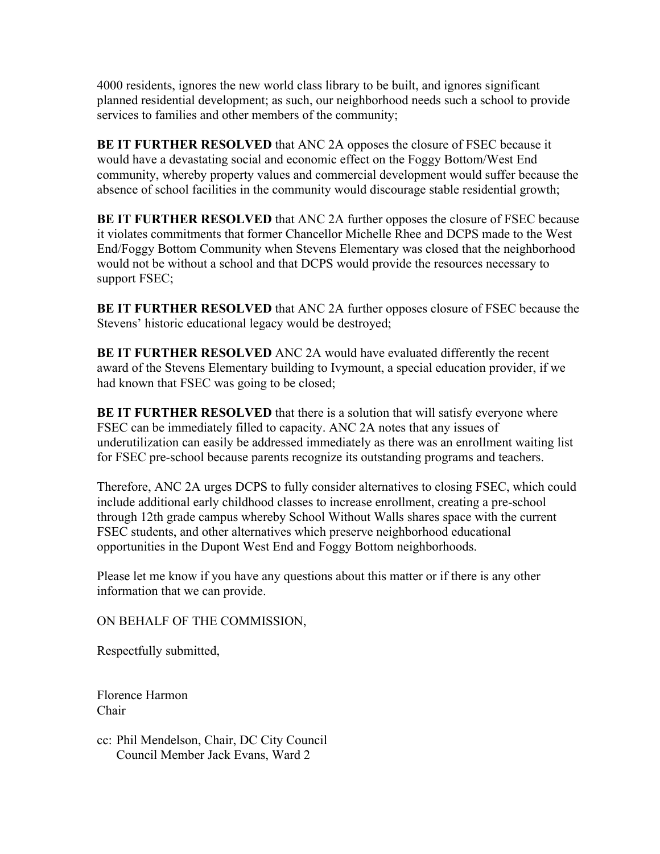4000 residents, ignores the new world class library to be built, and ignores significant planned residential development; as such, our neighborhood needs such a school to provide services to families and other members of the community;

**BE IT FURTHER RESOLVED** that ANC 2A opposes the closure of FSEC because it would have a devastating social and economic effect on the Foggy Bottom/West End community, whereby property values and commercial development would suffer because the absence of school facilities in the community would discourage stable residential growth;

**BE IT FURTHER RESOLVED** that ANC 2A further opposes the closure of FSEC because it violates commitments that former Chancellor Michelle Rhee and DCPS made to the West End/Foggy Bottom Community when Stevens Elementary was closed that the neighborhood would not be without a school and that DCPS would provide the resources necessary to support FSEC;

**BE IT FURTHER RESOLVED** that ANC 2A further opposes closure of FSEC because the Stevens' historic educational legacy would be destroyed;

**BE IT FURTHER RESOLVED** ANC 2A would have evaluated differently the recent award of the Stevens Elementary building to Ivymount, a special education provider, if we had known that FSEC was going to be closed;

**BE IT FURTHER RESOLVED** that there is a solution that will satisfy everyone where FSEC can be immediately filled to capacity. ANC 2A notes that any issues of underutilization can easily be addressed immediately as there was an enrollment waiting list for FSEC pre-school because parents recognize its outstanding programs and teachers.

Therefore, ANC 2A urges DCPS to fully consider alternatives to closing FSEC, which could include additional early childhood classes to increase enrollment, creating a pre-school through 12th grade campus whereby School Without Walls shares space with the current FSEC students, and other alternatives which preserve neighborhood educational opportunities in the Dupont West End and Foggy Bottom neighborhoods.

Please let me know if you have any questions about this matter or if there is any other information that we can provide.

ON BEHALF OF THE COMMISSION,

Respectfully submitted,

Florence Harmon Chair

cc: Phil Mendelson, Chair, DC City Council Council Member Jack Evans, Ward 2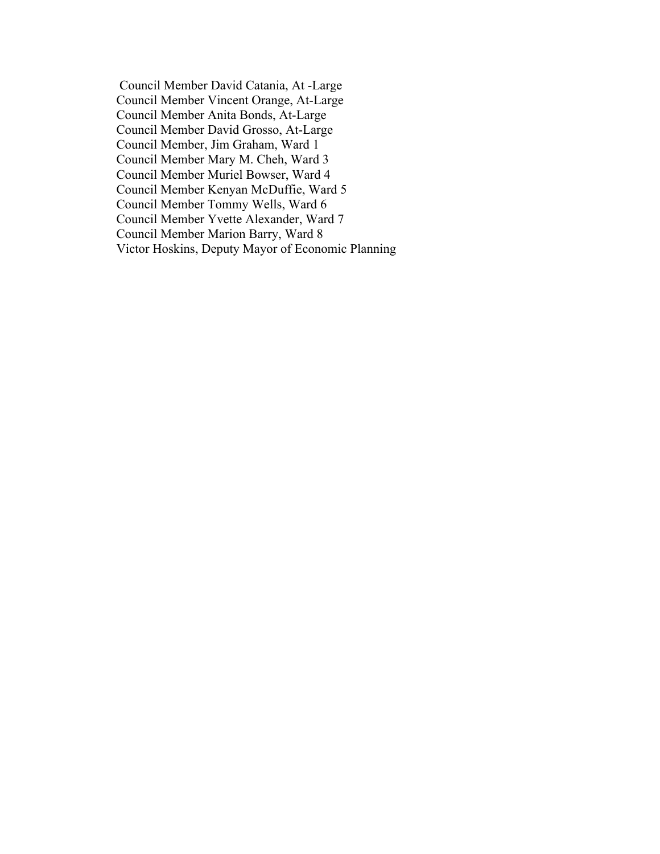Council Member David Catania, At -Large Council Member Vincent Orange, At-Large Council Member Anita Bonds, At-Large Council Member David Grosso, At-Large Council Member, Jim Graham, Ward 1 Council Member Mary M. Cheh, Ward 3 Council Member Muriel Bowser, Ward 4 Council Member Kenyan McDuffie, Ward 5 Council Member Tommy Wells, Ward 6 Council Member Yvette Alexander, Ward 7 Council Member Marion Barry, Ward 8 Victor Hoskins, Deputy Mayor of Economic Planning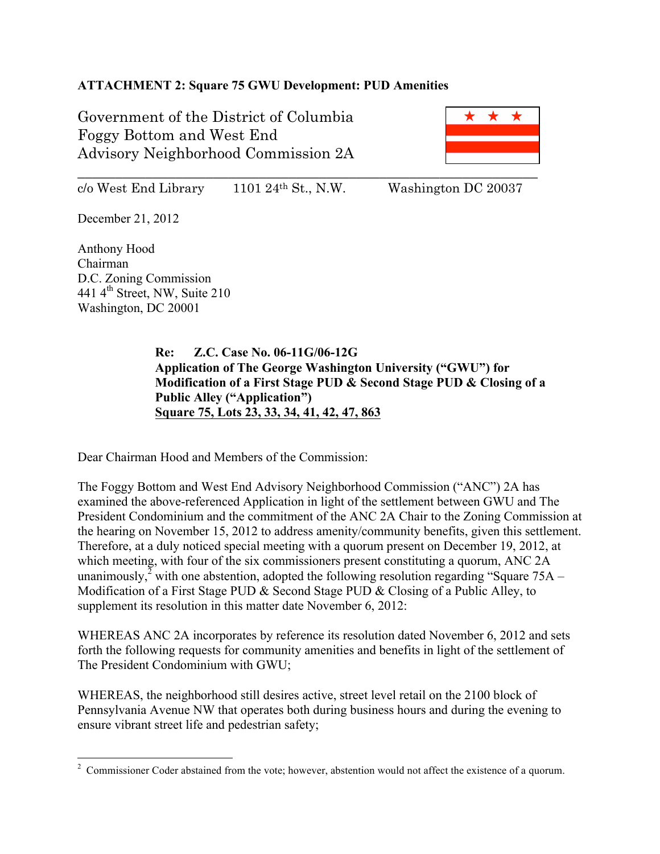# **ATTACHMENT 2: Square 75 GWU Development: PUD Amenities**

Government of the District of Columbia Foggy Bottom and West End Advisory Neighborhood Commission 2A



 $c/\text{o West End Library}$  1101 24<sup>th</sup> St., N.W. Washington DC 20037

December 21, 2012

Anthony Hood Chairman D.C. Zoning Commission 441 4th Street, NW, Suite 210 Washington, DC 20001

> **Re: Z.C. Case No. 06-11G/06-12G Application of The George Washington University ("GWU") for Modification of a First Stage PUD & Second Stage PUD & Closing of a Public Alley ("Application") Square 75, Lots 23, 33, 34, 41, 42, 47, 863**

Dear Chairman Hood and Members of the Commission:

The Foggy Bottom and West End Advisory Neighborhood Commission ("ANC") 2A has examined the above-referenced Application in light of the settlement between GWU and The President Condominium and the commitment of the ANC 2A Chair to the Zoning Commission at the hearing on November 15, 2012 to address amenity/community benefits, given this settlement. Therefore, at a duly noticed special meeting with a quorum present on December 19, 2012, at which meeting, with four of the six commissioners present constituting a quorum, ANC 2A unanimously,<sup> $\frac{3}{2}$ </sup> with one abstention, adopted the following resolution regarding "Square 75A – Modification of a First Stage PUD & Second Stage PUD & Closing of a Public Alley, to supplement its resolution in this matter date November 6, 2012:

WHEREAS ANC 2A incorporates by reference its resolution dated November 6, 2012 and sets forth the following requests for community amenities and benefits in light of the settlement of The President Condominium with GWU;

WHEREAS, the neighborhood still desires active, street level retail on the 2100 block of Pennsylvania Avenue NW that operates both during business hours and during the evening to ensure vibrant street life and pedestrian safety;

 $\frac{1}{2}$ <sup>2</sup> Commissioner Coder abstained from the vote; however, abstention would not affect the existence of a quorum.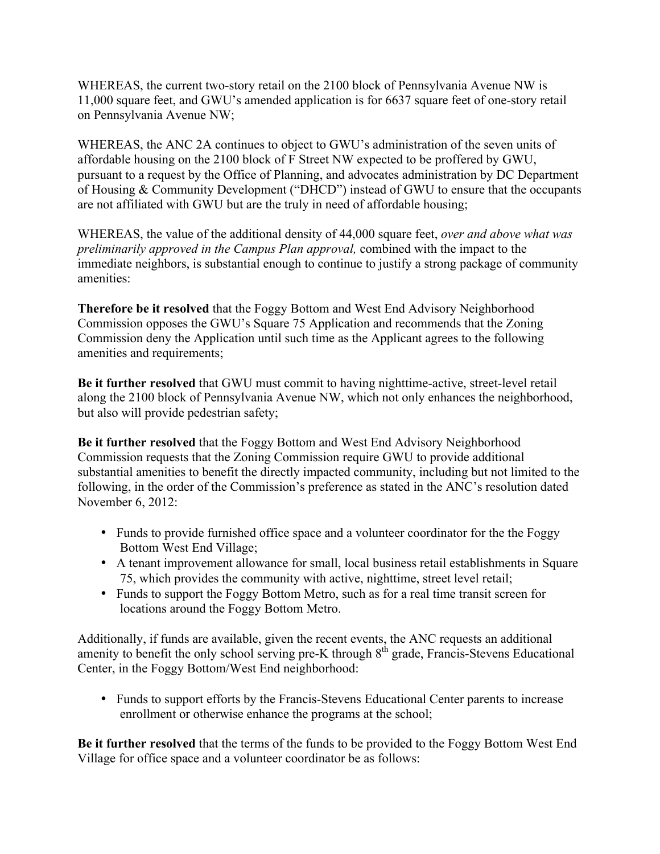WHEREAS, the current two-story retail on the 2100 block of Pennsylvania Avenue NW is 11,000 square feet, and GWU's amended application is for 6637 square feet of one-story retail on Pennsylvania Avenue NW;

WHEREAS, the ANC 2A continues to object to GWU's administration of the seven units of affordable housing on the 2100 block of F Street NW expected to be proffered by GWU, pursuant to a request by the Office of Planning, and advocates administration by DC Department of Housing & Community Development ("DHCD") instead of GWU to ensure that the occupants are not affiliated with GWU but are the truly in need of affordable housing;

WHEREAS, the value of the additional density of 44,000 square feet, *over and above what was preliminarily approved in the Campus Plan approval,* combined with the impact to the immediate neighbors, is substantial enough to continue to justify a strong package of community amenities:

**Therefore be it resolved** that the Foggy Bottom and West End Advisory Neighborhood Commission opposes the GWU's Square 75 Application and recommends that the Zoning Commission deny the Application until such time as the Applicant agrees to the following amenities and requirements;

**Be it further resolved** that GWU must commit to having nighttime-active, street-level retail along the 2100 block of Pennsylvania Avenue NW, which not only enhances the neighborhood, but also will provide pedestrian safety;

**Be it further resolved** that the Foggy Bottom and West End Advisory Neighborhood Commission requests that the Zoning Commission require GWU to provide additional substantial amenities to benefit the directly impacted community, including but not limited to the following, in the order of the Commission's preference as stated in the ANC's resolution dated November 6, 2012:

- Funds to provide furnished office space and a volunteer coordinator for the the Foggy Bottom West End Village;
- A tenant improvement allowance for small, local business retail establishments in Square 75, which provides the community with active, nighttime, street level retail;
- Funds to support the Foggy Bottom Metro, such as for a real time transit screen for locations around the Foggy Bottom Metro.

Additionally, if funds are available, given the recent events, the ANC requests an additional amenity to benefit the only school serving pre-K through  $8<sup>th</sup>$  grade, Francis-Stevens Educational Center, in the Foggy Bottom/West End neighborhood:

• Funds to support efforts by the Francis-Stevens Educational Center parents to increase enrollment or otherwise enhance the programs at the school;

**Be it further resolved** that the terms of the funds to be provided to the Foggy Bottom West End Village for office space and a volunteer coordinator be as follows: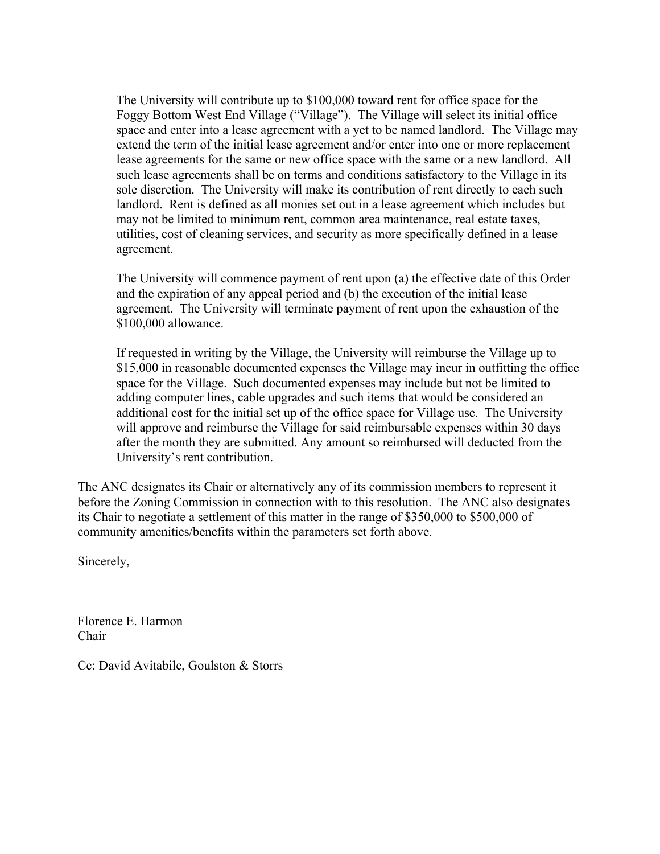The University will contribute up to \$100,000 toward rent for office space for the Foggy Bottom West End Village ("Village"). The Village will select its initial office space and enter into a lease agreement with a yet to be named landlord. The Village may extend the term of the initial lease agreement and/or enter into one or more replacement lease agreements for the same or new office space with the same or a new landlord. All such lease agreements shall be on terms and conditions satisfactory to the Village in its sole discretion. The University will make its contribution of rent directly to each such landlord. Rent is defined as all monies set out in a lease agreement which includes but may not be limited to minimum rent, common area maintenance, real estate taxes, utilities, cost of cleaning services, and security as more specifically defined in a lease agreement.

The University will commence payment of rent upon (a) the effective date of this Order and the expiration of any appeal period and (b) the execution of the initial lease agreement. The University will terminate payment of rent upon the exhaustion of the \$100,000 allowance.

If requested in writing by the Village, the University will reimburse the Village up to \$15,000 in reasonable documented expenses the Village may incur in outfitting the office space for the Village. Such documented expenses may include but not be limited to adding computer lines, cable upgrades and such items that would be considered an additional cost for the initial set up of the office space for Village use. The University will approve and reimburse the Village for said reimbursable expenses within 30 days after the month they are submitted. Any amount so reimbursed will deducted from the University's rent contribution.

The ANC designates its Chair or alternatively any of its commission members to represent it before the Zoning Commission in connection with to this resolution. The ANC also designates its Chair to negotiate a settlement of this matter in the range of \$350,000 to \$500,000 of community amenities/benefits within the parameters set forth above.

Sincerely,

Florence E. Harmon Chair

Cc: David Avitabile, Goulston & Storrs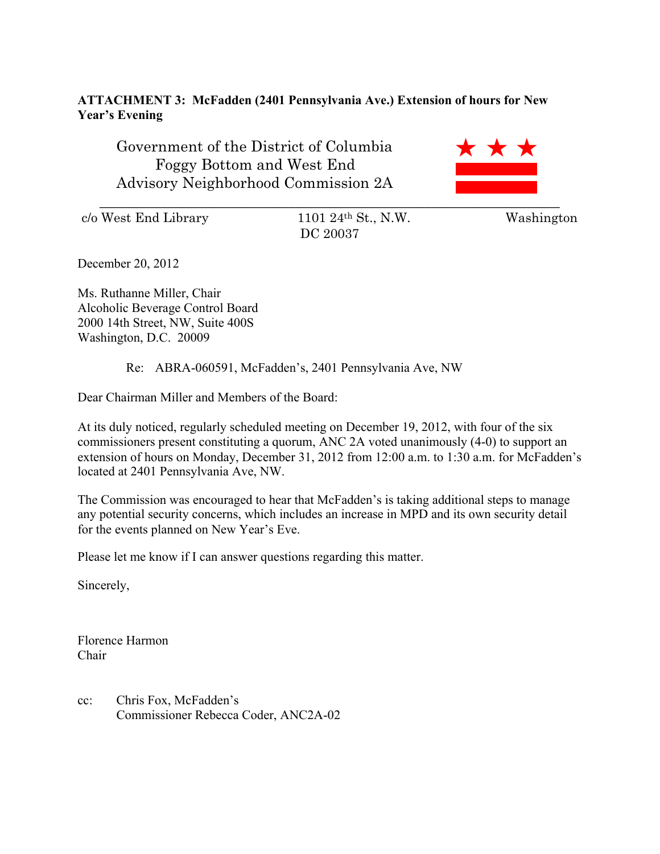# **ATTACHMENT 3: McFadden (2401 Pennsylvania Ave.) Extension of hours for New Year's Evening**

Government of the District of Columbia Foggy Bottom and West End Advisory Neighborhood Commission 2A



c/o West End Library 1101 24th St., N.W. Washington

DC 20037

December 20, 2012

Ms. Ruthanne Miller, Chair Alcoholic Beverage Control Board 2000 14th Street, NW, Suite 400S Washington, D.C. 20009

Re: ABRA-060591, McFadden's, 2401 Pennsylvania Ave, NW

Dear Chairman Miller and Members of the Board:

At its duly noticed, regularly scheduled meeting on December 19, 2012, with four of the six commissioners present constituting a quorum, ANC 2A voted unanimously (4-0) to support an extension of hours on Monday, December 31, 2012 from 12:00 a.m. to 1:30 a.m. for McFadden's located at 2401 Pennsylvania Ave, NW.

The Commission was encouraged to hear that McFadden's is taking additional steps to manage any potential security concerns, which includes an increase in MPD and its own security detail for the events planned on New Year's Eve.

Please let me know if I can answer questions regarding this matter.

Sincerely,

Florence Harmon Chair

cc: Chris Fox, McFadden's Commissioner Rebecca Coder, ANC2A-02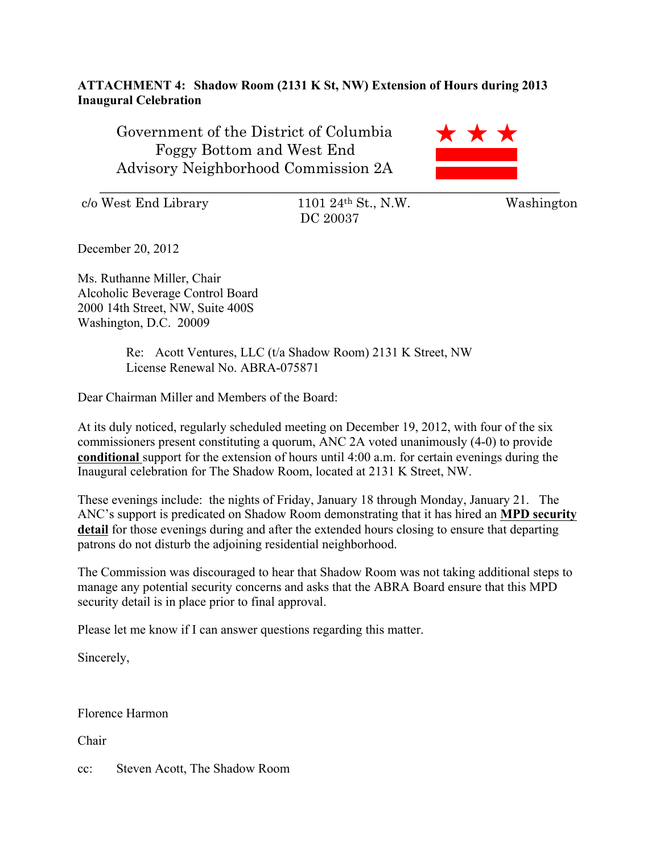## **ATTACHMENT 4: Shadow Room (2131 K St, NW) Extension of Hours during 2013 Inaugural Celebration**

Government of the District of Columbia Foggy Bottom and West End Advisory Neighborhood Commission 2A

 $c/\text{o West End Library}$  1101 24<sup>th</sup> St., N.W. Washington

DC 20037

\_\_\_\_\_\_\_\_\_\_\_\_\_\_\_\_\_\_\_\_\_\_\_\_\_\_\_\_\_\_\_\_\_\_\_\_\_\_\_\_\_\_\_\_\_\_\_\_\_\_\_\_\_\_\_\_\_\_\_\_\_

**x x** 

December 20, 2012

Ms. Ruthanne Miller, Chair Alcoholic Beverage Control Board 2000 14th Street, NW, Suite 400S Washington, D.C. 20009

> Re: Acott Ventures, LLC (t/a Shadow Room) 2131 K Street, NW License Renewal No. ABRA-075871

Dear Chairman Miller and Members of the Board:

At its duly noticed, regularly scheduled meeting on December 19, 2012, with four of the six commissioners present constituting a quorum, ANC 2A voted unanimously (4-0) to provide **conditional** support for the extension of hours until 4:00 a.m. for certain evenings during the Inaugural celebration for The Shadow Room, located at 2131 K Street, NW.

These evenings include: the nights of Friday, January 18 through Monday, January 21. The ANC's support is predicated on Shadow Room demonstrating that it has hired an **MPD security detail** for those evenings during and after the extended hours closing to ensure that departing patrons do not disturb the adjoining residential neighborhood.

The Commission was discouraged to hear that Shadow Room was not taking additional steps to manage any potential security concerns and asks that the ABRA Board ensure that this MPD security detail is in place prior to final approval.

Please let me know if I can answer questions regarding this matter.

Sincerely,

Florence Harmon

Chair

cc: Steven Acott, The Shadow Room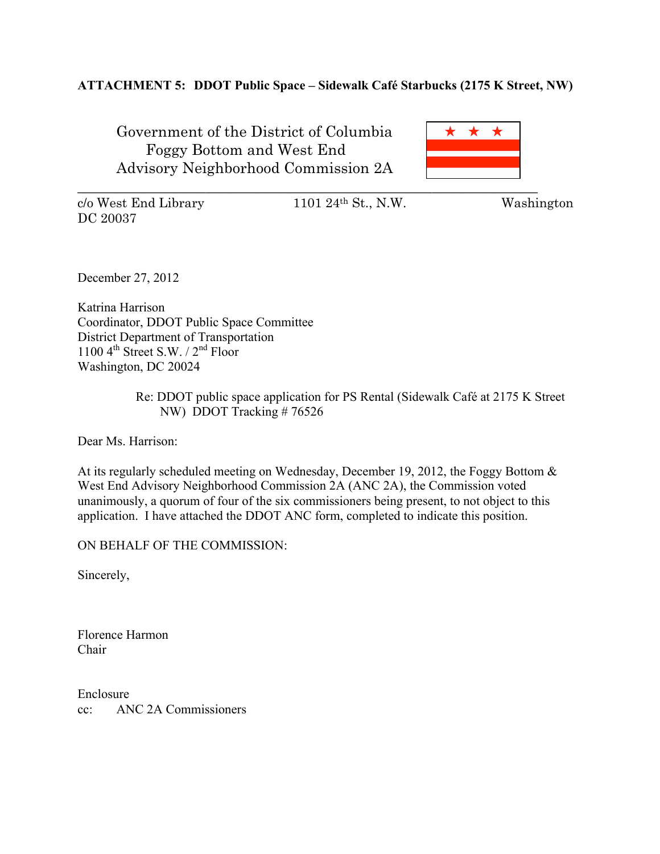# **ATTACHMENT 5: DDOT Public Space – Sidewalk Café Starbucks (2175 K Street, NW)**

Government of the District of Columbia Foggy Bottom and West End Advisory Neighborhood Commission 2A

\_\_\_\_\_\_\_\_\_\_\_\_\_\_\_\_\_\_\_\_\_\_\_\_\_\_\_\_\_\_\_\_\_\_\_\_\_\_\_\_\_\_\_\_\_\_\_\_\_\_\_\_\_\_\_\_\_\_\_\_\_

 $c/\text{o West End Library}$  1101 24<sup>th</sup> St., N.W. Washington DC 20037

December 27, 2012

Katrina Harrison Coordinator, DDOT Public Space Committee District Department of Transportation 1100  $4^{\text{th}}$  Street S.W. /  $2^{\text{nd}}$  Floor Washington, DC 20024

### Re: DDOT public space application for PS Rental (Sidewalk Café at 2175 K Street NW) DDOT Tracking # 76526

Dear Ms. Harrison:

At its regularly scheduled meeting on Wednesday, December 19, 2012, the Foggy Bottom & West End Advisory Neighborhood Commission 2A (ANC 2A), the Commission voted unanimously, a quorum of four of the six commissioners being present, to not object to this application. I have attached the DDOT ANC form, completed to indicate this position.

ON BEHALF OF THE COMMISSION:

Sincerely,

Florence Harmon Chair

Enclosure cc: ANC 2A Commissioners